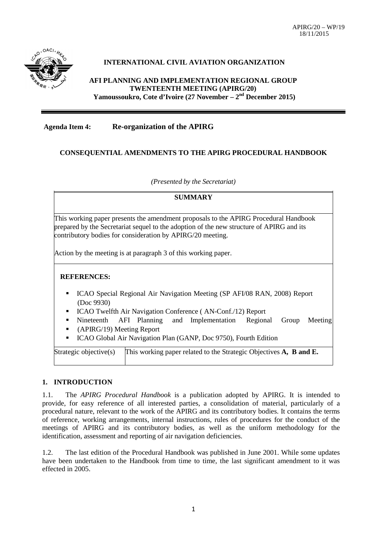

# **INTERNATIONAL CIVIL AVIATION ORGANIZATION**

**AFI PLANNING AND IMPLEMENTATION REGIONAL GROUP TWENTEENTH MEETING (APIRG/20) Yamoussoukro, Cote d'Ivoire (27 November – 2nd December 2015)**

**Agenda Item 4: Re-organization of the APIRG** 

# **CONSEQUENTIAL AMENDMENTS TO THE APIRG PROCEDURAL HANDBOOK**

*(Presented by the Secretariat)*

#### **SUMMARY**

This working paper presents the amendment proposals to the APIRG Procedural Handbook prepared by the Secretariat sequel to the adoption of the new structure of APIRG and its contributory bodies for consideration by APIRG/20 meeting.

Action by the meeting is at paragraph 3 of this working paper.

#### **REFERENCES:**

- ICAO Special Regional Air Navigation Meeting (SP AFI/08 RAN, 2008) Report (Doc 9930)
- ICAO Twelfth Air Navigation Conference ( AN-Conf./12) Report
- Nineteenth AFI Planning and Implementation Regional Group Meeting
- (APIRG/19) Meeting Report
- ICAO Global Air Navigation Plan (GANP, Doc 9750), Fourth Edition

Strategic objective(s) This working paper related to the Strategic Objectives  $\bf{A}$ ,  $\bf{B}$  and  $\bf{E}$ .

### **1. INTRODUCTION**

1.1. The *APIRG Procedural Handbook* is a publication adopted by APIRG. It is intended to provide, for easy reference of all interested parties, a consolidation of material, particularly of a procedural nature, relevant to the work of the APIRG and its contributory bodies. It contains the terms of reference, working arrangements, internal instructions, rules of procedures for the conduct of the meetings of APIRG and its contributory bodies, as well as the uniform methodology for the identification, assessment and reporting of air navigation deficiencies.

1.2. The last edition of the Procedural Handbook was published in June 2001. While some updates have been undertaken to the Handbook from time to time, the last significant amendment to it was effected in 2005.